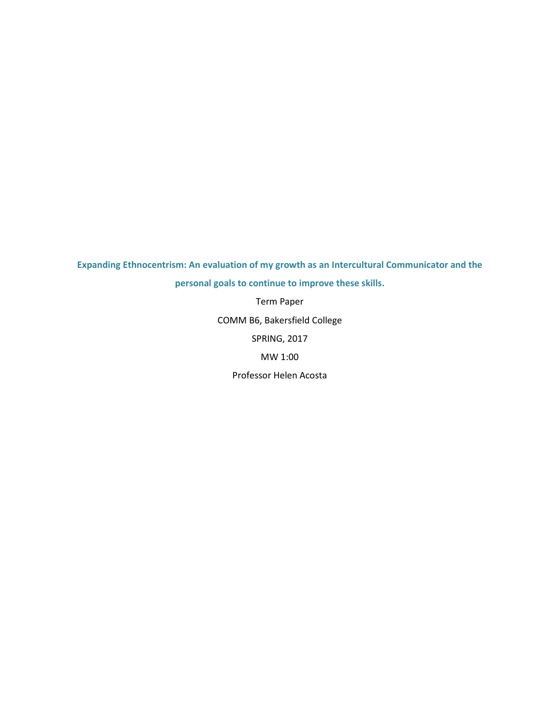Expanding Ethnocentrism: An evaluation of my growth as an Intercultural Communicator and the personal goals to continue to improve these skills.

> Term Paper COMM B6, Bakersfield College

> > SPRING, 2017

MW 1:00

Professor Helen Acosta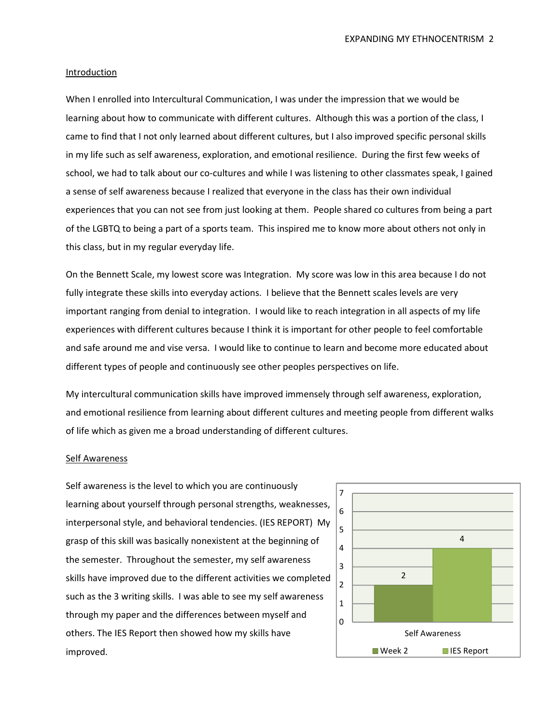#### Introduction

When I enrolled into Intercultural Communication, I was under the impression that we would be learning about how to communicate with different cultures. Although this was a portion of the class, I came to find that I not only learned about different cultures, but I also improved specific personal skills in my life such as self awareness, exploration, and emotional resilience. During the first few weeks of school, we had to talk about our co-cultures and while I was listening to other classmates speak, I gained a sense of self awareness because I realized that everyone in the class has their own individual experiences that you can not see from just looking at them. People shared co cultures from being a part of the LGBTQ to being a part of a sports team. This inspired me to know more about others not only in this class, but in my regular everyday life.

On the Bennett Scale, my lowest score was Integration. My score was low in this area because I do not fully integrate these skills into everyday actions. I believe that the Bennett scales levels are very important ranging from denial to integration. I would like to reach integration in all aspects of my life experiences with different cultures because I think it is important for other people to feel comfortable and safe around me and vise versa. I would like to continue to learn and become more educated about different types of people and continuously see other peoples perspectives on life.

My intercultural communication skills have improved immensely through self awareness, exploration, and emotional resilience from learning about different cultures and meeting people from different walks of life which as given me a broad understanding of different cultures.

#### Self Awareness

Self awareness is the level to which you are continuously learning about yourself through personal strengths, weaknesses, interpersonal style, and behavioral tendencies. (IES REPORT) My grasp of this skill was basically nonexistent at the beginning of the semester. Throughout the semester, my self awareness skills have improved due to the different activities we completed such as the 3 writing skills. I was able to see my self awareness through my paper and the differences between myself and others. The IES Report then showed how my skills have improved.

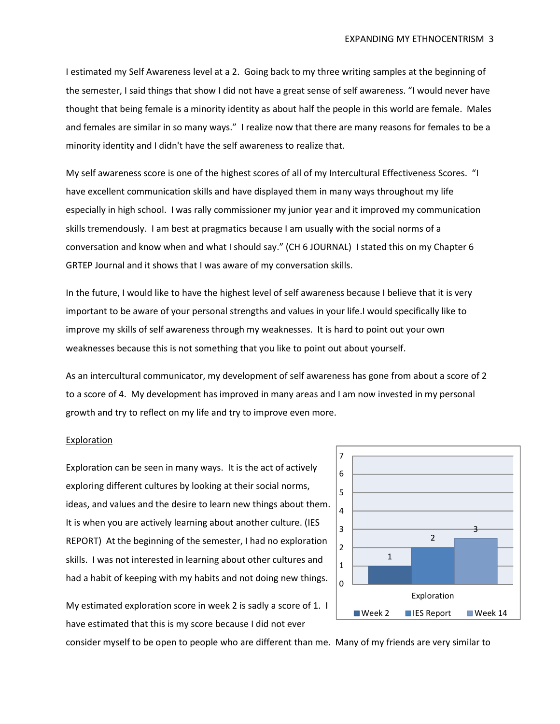I estimated my Self Awareness level at a 2. Going back to my three writing samples at the beginning of the semester, I said things that show I did not have a great sense of self awareness. "I would never have thought that being female is a minority identity as about half the people in this world are female. Males and females are similar in so many ways." I realize now that there are many reasons for females to be a minority identity and I didn't have the self awareness to realize that.

My self awareness score is one of the highest scores of all of my Intercultural Effectiveness Scores. "I have excellent communication skills and have displayed them in many ways throughout my life especially in high school. I was rally commissioner my junior year and it improved my communication skills tremendously. I am best at pragmatics because I am usually with the social norms of a conversation and know when and what I should say." (CH 6 JOURNAL) I stated this on my Chapter 6 GRTEP Journal and it shows that I was aware of my conversation skills.

In the future, I would like to have the highest level of self awareness because I believe that it is very important to be aware of your personal strengths and values in your life.I would specifically like to improve my skills of self awareness through my weaknesses. It is hard to point out your own weaknesses because this is not something that you like to point out about yourself.

As an intercultural communicator, my development of self awareness has gone from about a score of 2 to a score of 4. My development has improved in many areas and I am now invested in my personal growth and try to reflect on my life and try to improve even more.

# **Exploration**

Exploration can be seen in many ways. It is the act of actively exploring different cultures by looking at their social norms, ideas, and values and the desire to learn new things about them. It is when you are actively learning about another culture. (IES REPORT) At the beginning of the semester, I had no exploration skills. I was not interested in learning about other cultures and had a habit of keeping with my habits and not doing new things.





consider myself to be open to people who are different than me. Many of my friends are very similar to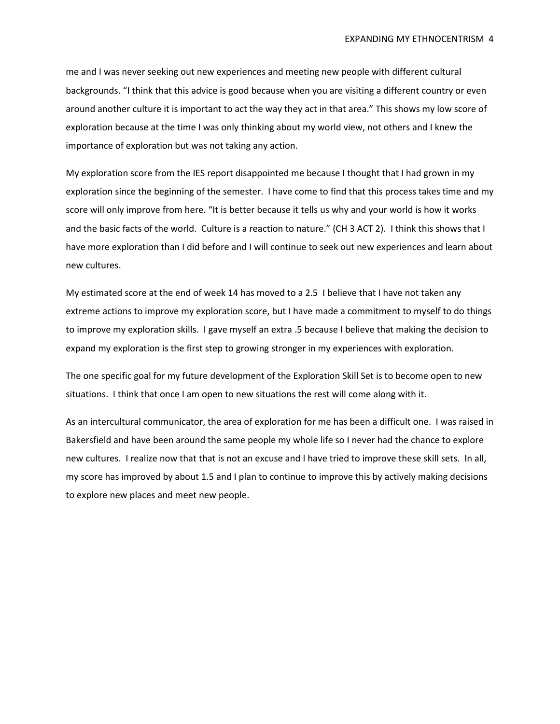me and I was never seeking out new experiences and meeting new people with different cultural backgrounds. "I think that this advice is good because when you are visiting a different country or even around another culture it is important to act the way they act in that area." This shows my low score of exploration because at the time I was only thinking about my world view, not others and I knew the importance of exploration but was not taking any action.

My exploration score from the IES report disappointed me because I thought that I had grown in my exploration since the beginning of the semester. I have come to find that this process takes time and my score will only improve from here. "It is better because it tells us why and your world is how it works and the basic facts of the world. Culture is a reaction to nature." (CH 3 ACT 2). I think this shows that I have more exploration than I did before and I will continue to seek out new experiences and learn about new cultures.

My estimated score at the end of week 14 has moved to a 2.5 I believe that I have not taken any extreme actions to improve my exploration score, but I have made a commitment to myself to do things to improve my exploration skills. I gave myself an extra .5 because I believe that making the decision to expand my exploration is the first step to growing stronger in my experiences with exploration.

The one specific goal for my future development of the Exploration Skill Set is to become open to new situations. I think that once I am open to new situations the rest will come along with it.

As an intercultural communicator, the area of exploration for me has been a difficult one. I was raised in Bakersfield and have been around the same people my whole life so I never had the chance to explore new cultures. I realize now that that is not an excuse and I have tried to improve these skill sets. In all, my score has improved by about 1.5 and I plan to continue to improve this by actively making decisions to explore new places and meet new people.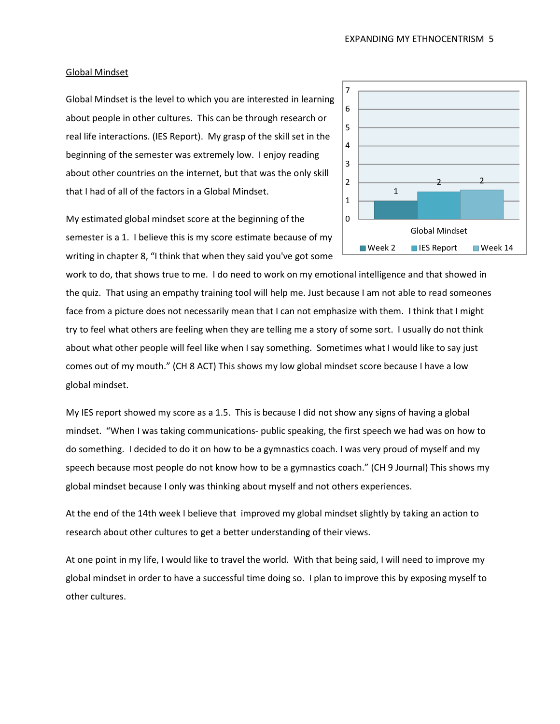### Global Mindset

Global Mindset is the level to which you are interested in learning about people in other cultures. This can be through research or real life interactions. (IES Report). My grasp of the skill set in the beginning of the semester was extremely low. I enjoy reading about other countries on the internet, but that was the only skill that I had of all of the factors in a Global Mindset.



My estimated global mindset score at the beginning of the semester is a 1. I believe this is my score estimate because of my writing in chapter 8, "I think that when they said you've got some

work to do, that shows true to me. I do need to work on my emotional intelligence and that showed in the quiz. That using an empathy training tool will help me. Just because I am not able to read someones face from a picture does not necessarily mean that I can not emphasize with them. I think that I might try to feel what others are feeling when they are telling me a story of some sort. I usually do not think about what other people will feel like when I say something. Sometimes what I would like to say just comes out of my mouth." (CH 8 ACT) This shows my low global mindset score because I have a low global mindset.

My IES report showed my score as a 1.5. This is because I did not show any signs of having a global mindset. "When I was taking communications- public speaking, the first speech we had was on how to do something. I decided to do it on how to be a gymnastics coach. I was very proud of myself and my speech because most people do not know how to be a gymnastics coach." (CH 9 Journal) This shows my global mindset because I only was thinking about myself and not others experiences.

At the end of the 14th week I believe that improved my global mindset slightly by taking an action to research about other cultures to get a better understanding of their views.

At one point in my life, I would like to travel the world. With that being said, I will need to improve my global mindset in order to have a successful time doing so. I plan to improve this by exposing myself to other cultures.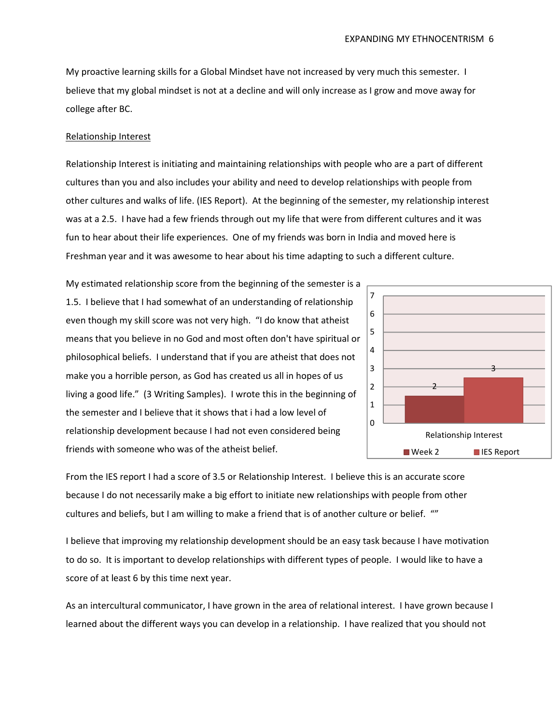My proactive learning skills for a Global Mindset have not increased by very much this semester. I believe that my global mindset is not at a decline and will only increase as I grow and move away for college after BC.

#### Relationship Interest

Relationship Interest is initiating and maintaining relationships with people who are a part of different cultures than you and also includes your ability and need to develop relationships with people from other cultures and walks of life. (IES Report). At the beginning of the semester, my relationship interest was at a 2.5. I have had a few friends through out my life that were from different cultures and it was fun to hear about their life experiences. One of my friends was born in India and moved here is Freshman year and it was awesome to hear about his time adapting to such a different culture.

My estimated relationship score from the beginning of the semester is a 1.5. I believe that I had somewhat of an understanding of relationship even though my skill score was not very high. "I do know that atheist means that you believe in no God and most often don't have spiritual or philosophical beliefs. I understand that if you are atheist that does not make you a horrible person, as God has created us all in hopes of us living a good life." (3 Writing Samples). I wrote this in the beginning of the semester and I believe that it shows that i had a low level of relationship development because I had not even considered being friends with someone who was of the atheist belief.



From the IES report I had a score of 3.5 or Relationship Interest. I believe this is an accurate score because I do not necessarily make a big effort to initiate new relationships with people from other cultures and beliefs, but I am willing to make a friend that is of another culture or belief. ""

I believe that improving my relationship development should be an easy task because I have motivation to do so. It is important to develop relationships with different types of people. I would like to have a score of at least 6 by this time next year.

As an intercultural communicator, I have grown in the area of relational interest. I have grown because I learned about the different ways you can develop in a relationship. I have realized that you should not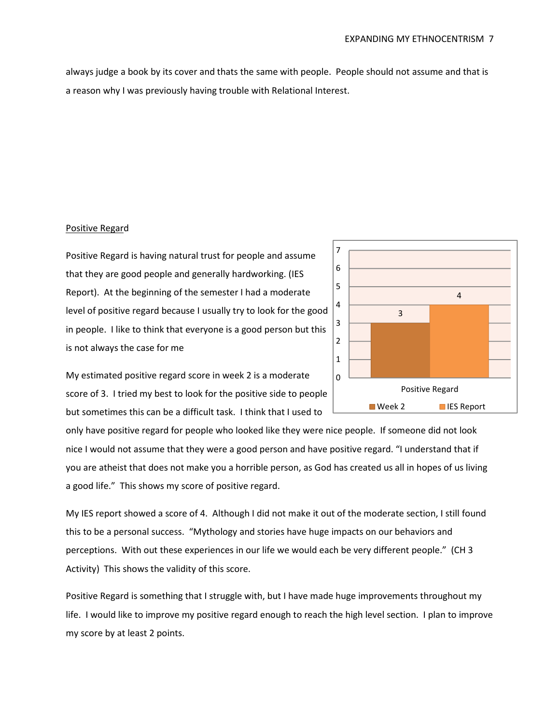always judge a book by its cover and thats the same with people. People should not assume and that is a reason why I was previously having trouble with Relational Interest.

# Positive Regard

Positive Regard is having natural trust for people and assume that they are good people and generally hardworking. (IES Report). At the beginning of the semester I had a moderate level of positive regard because I usually try to look for the good in people. I like to think that everyone is a good person but this is not always the case for me



My estimated positive regard score in week 2 is a moderate score of 3. I tried my best to look for the positive side to people but sometimes this can be a difficult task. I think that I used to

only have positive regard for people who looked like they were nice people. If someone did not look nice I would not assume that they were a good person and have positive regard. "I understand that if you are atheist that does not make you a horrible person, as God has created us all in hopes of us living a good life." This shows my score of positive regard.

My IES report showed a score of 4. Although I did not make it out of the moderate section, I still found this to be a personal success. "Mythology and stories have huge impacts on our behaviors and perceptions. With out these experiences in our life we would each be very different people." (CH 3 Activity) This shows the validity of this score.

Positive Regard is something that I struggle with, but I have made huge improvements throughout my life. I would like to improve my positive regard enough to reach the high level section. I plan to improve my score by at least 2 points.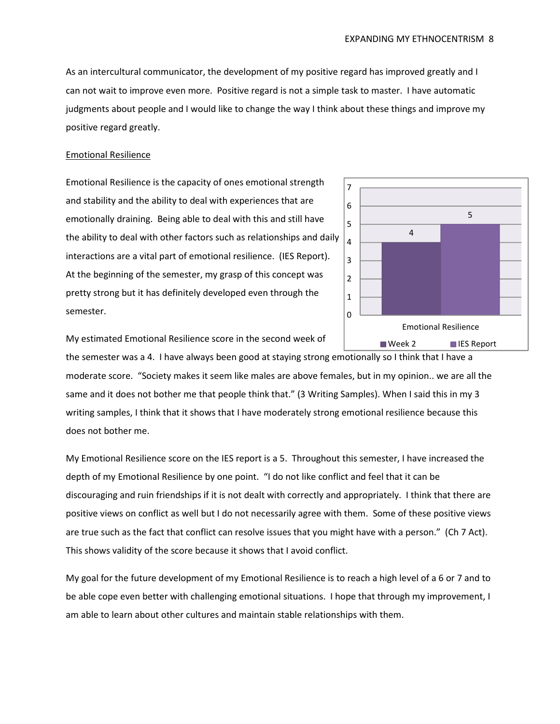As an intercultural communicator, the development of my positive regard has improved greatly and I can not wait to improve even more. Positive regard is not a simple task to master. I have automatic judgments about people and I would like to change the way I think about these things and improve my positive regard greatly.

# Emotional Resilience

Emotional Resilience is the capacity of ones emotional strength and stability and the ability to deal with experiences that are emotionally draining. Being able to deal with this and still have the ability to deal with other factors such as relationships and daily interactions are a vital part of emotional resilience. (IES Report). At the beginning of the semester, my grasp of this concept was pretty strong but it has definitely developed even through the semester.



My estimated Emotional Resilience score in the second week of

the semester was a 4. I have always been good at staying strong emotionally so I think that I have a moderate score. "Society makes it seem like males are above females, but in my opinion.. we are all the same and it does not bother me that people think that." (3 Writing Samples). When I said this in my 3 writing samples, I think that it shows that I have moderately strong emotional resilience because this does not bother me.

My Emotional Resilience score on the IES report is a 5. Throughout this semester, I have increased the depth of my Emotional Resilience by one point. "I do not like conflict and feel that it can be discouraging and ruin friendships if it is not dealt with correctly and appropriately. I think that there are positive views on conflict as well but I do not necessarily agree with them. Some of these positive views are true such as the fact that conflict can resolve issues that you might have with a person." (Ch 7 Act). This shows validity of the score because it shows that I avoid conflict.

My goal for the future development of my Emotional Resilience is to reach a high level of a 6 or 7 and to be able cope even better with challenging emotional situations. I hope that through my improvement, I am able to learn about other cultures and maintain stable relationships with them.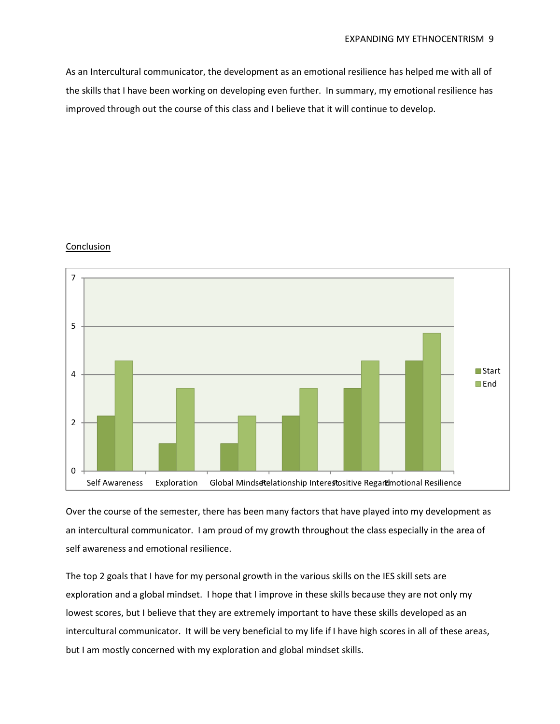As an Intercultural communicator, the development as an emotional resilience has helped me with all of the skills that I have been working on developing even further. In summary, my emotional resilience has improved through out the course of this class and I believe that it will continue to develop.

# Conclusion



Over the course of the semester, there has been many factors that have played into my development as an intercultural communicator. I am proud of my growth throughout the class especially in the area of self awareness and emotional resilience.

The top 2 goals that I have for my personal growth in the various skills on the IES skill sets are exploration and a global mindset. I hope that I improve in these skills because they are not only my lowest scores, but I believe that they are extremely important to have these skills developed as an intercultural communicator. It will be very beneficial to my life if I have high scores in all of these areas, but I am mostly concerned with my exploration and global mindset skills.